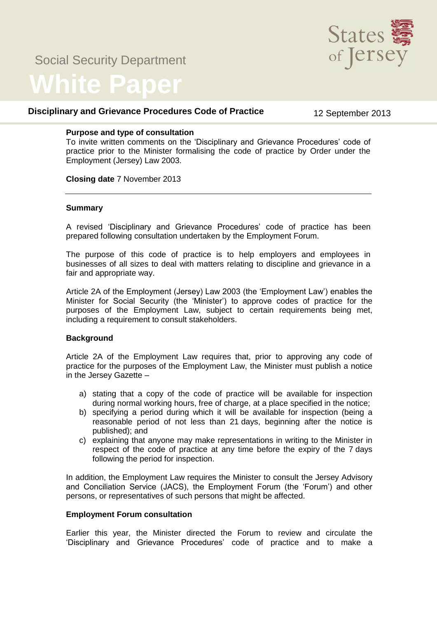# Social Security Department



# **White Paper**

# **Disciplinary and Grievance Procedures Code of Practice** 12 September 2013

#### **Purpose and type of consultation**

To invite written comments on the 'Disciplinary and Grievance Procedures' code of practice prior to the Minister formalising the code of practice by Order under the Employment (Jersey) Law 2003.

**Closing date** 7 November 2013

### **Summary**

A revised 'Disciplinary and Grievance Procedures' code of practice has been prepared following consultation undertaken by the Employment Forum.

The purpose of this code of practice is to help employers and employees in businesses of all sizes to deal with matters relating to discipline and grievance in a fair and appropriate way.

Article 2A of the Employment (Jersey) Law 2003 (the 'Employment Law') enables the Minister for Social Security (the 'Minister') to approve codes of practice for the purposes of the Employment Law, subject to certain requirements being met, including a requirement to consult stakeholders.

# **Background**

Article 2A of the Employment Law requires that, prior to approving any code of practice for the purposes of the Employment Law, the Minister must publish a notice in the Jersey Gazette –

- a) stating that a copy of the code of practice will be available for inspection during normal working hours, free of charge, at a place specified in the notice;
- b) specifying a period during which it will be available for inspection (being a reasonable period of not less than 21 days, beginning after the notice is published); and
- c) explaining that anyone may make representations in writing to the Minister in respect of the code of practice at any time before the expiry of the 7 days following the period for inspection.

In addition, the Employment Law requires the Minister to consult the Jersey Advisory and Conciliation Service (JACS), the Employment Forum (the 'Forum') and other persons, or representatives of such persons that might be affected.

# **Employment Forum consultation**

Earlier this year, the Minister directed the Forum to review and circulate the 'Disciplinary and Grievance Procedures' code of practice and to make a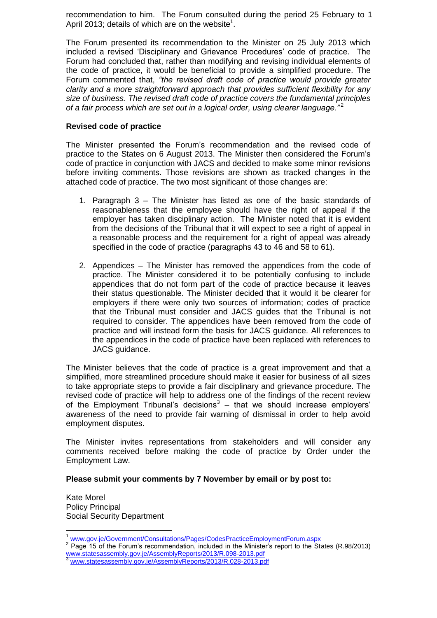recommendation to him. The Forum consulted during the period 25 February to 1 April 2013; details of which are on the website<sup>1</sup>.

The Forum presented its recommendation to the Minister on 25 July 2013 which included a revised 'Disciplinary and Grievance Procedures' code of practice. The Forum had concluded that, rather than modifying and revising individual elements of the code of practice, it would be beneficial to provide a simplified procedure. The Forum commented that, *"the revised draft code of practice would provide greater clarity and a more straightforward approach that provides sufficient flexibility for any size of business. The revised draft code of practice covers the fundamental principles of a fair process which are set out in a logical order, using clearer language."* <sup>2</sup>

#### **Revised code of practice**

The Minister presented the Forum's recommendation and the revised code of practice to the States on 6 August 2013. The Minister then considered the Forum's code of practice in conjunction with JACS and decided to make some minor revisions before inviting comments. Those revisions are shown as tracked changes in the attached code of practice. The two most significant of those changes are:

- 1. Paragraph 3 The Minister has listed as one of the basic standards of reasonableness that the employee should have the right of appeal if the employer has taken disciplinary action. The Minister noted that it is evident from the decisions of the Tribunal that it will expect to see a right of appeal in a reasonable process and the requirement for a right of appeal was already specified in the code of practice (paragraphs 43 to 46 and 58 to 61).
- 2. Appendices The Minister has removed the appendices from the code of practice. The Minister considered it to be potentially confusing to include appendices that do not form part of the code of practice because it leaves their status questionable. The Minister decided that it would it be clearer for employers if there were only two sources of information; codes of practice that the Tribunal must consider and JACS guides that the Tribunal is not required to consider. The appendices have been removed from the code of practice and will instead form the basis for JACS guidance. All references to the appendices in the code of practice have been replaced with references to JACS guidance.

The Minister believes that the code of practice is a great improvement and that a simplified, more streamlined procedure should make it easier for business of all sizes to take appropriate steps to provide a fair disciplinary and grievance procedure. The revised code of practice will help to address one of the findings of the recent review of the Employment Tribunal's decisions<sup>3</sup> – that we should increase employers' awareness of the need to provide fair warning of dismissal in order to help avoid employment disputes.

The Minister invites representations from stakeholders and will consider any comments received before making the code of practice by Order under the Employment Law.

#### **Please submit your comments by 7 November by email or by post to:**

Kate Morel Policy Principal Social Security Department

 $\overline{a}$ <sup>1</sup> [www.gov.je/Government/Consultations/Pages/CodesPracticeEmploymentForum.aspx](http://www.gov.je/Government/Consultations/Pages/CodesPracticeEmploymentForum.aspx)

 $2^{2}$  Page 15 of the Forum's recommendation, included in the Minister's report to the States (R.98/2013) [www.statesassembly.gov.je/AssemblyReports/2013/R.098-2013.pdf](http://www.statesassembly.gov.je/AssemblyReports/2013/R.098-2013.pdf)

<sup>3</sup> [www.statesassembly.gov.je/AssemblyReports/2013/R.028-2013.pdf](http://www.statesassembly.gov.je/AssemblyReports/2013/R.028-2013.pdf)